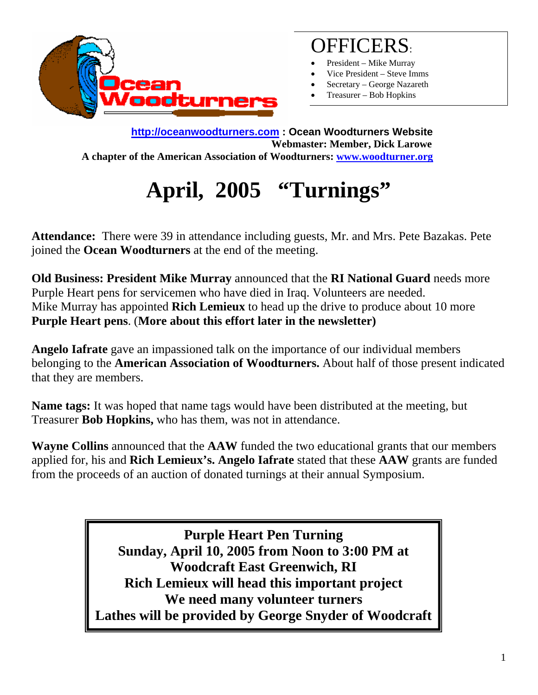

## OFFICERS:

- President Mike Murray
- Vice President Steve Imms
- Secretary George Nazareth
- Treasurer Bob Hopkins

**http://oceanwoodturners.com : Ocean Woodturners Website Webmaster: Member, Dick Larowe A chapter of the American Association of Woodturners: www.woodturner.org** 

## **April, 2005 "Turnings"**

**Attendance:** There were 39 in attendance including guests, Mr. and Mrs. Pete Bazakas. Pete joined the **Ocean Woodturners** at the end of the meeting.

**Old Business: President Mike Murray** announced that the **RI National Guard** needs more Purple Heart pens for servicemen who have died in Iraq. Volunteers are needed. Mike Murray has appointed **Rich Lemieux** to head up the drive to produce about 10 more **Purple Heart pens**. (**More about this effort later in the newsletter)** 

**Angelo Iafrate** gave an impassioned talk on the importance of our individual members belonging to the **American Association of Woodturners.** About half of those present indicated that they are members.

**Name tags:** It was hoped that name tags would have been distributed at the meeting, but Treasurer **Bob Hopkins,** who has them, was not in attendance.

**Wayne Collins** announced that the **AAW** funded the two educational grants that our members applied for, his and **Rich Lemieux's. Angelo Iafrate** stated that these **AAW** grants are funded from the proceeds of an auction of donated turnings at their annual Symposium.

> **Purple Heart Pen Turning Sunday, April 10, 2005 from Noon to 3:00 PM at Woodcraft East Greenwich, RI Rich Lemieux will head this important project We need many volunteer turners Lathes will be provided by George Snyder of Woodcraft**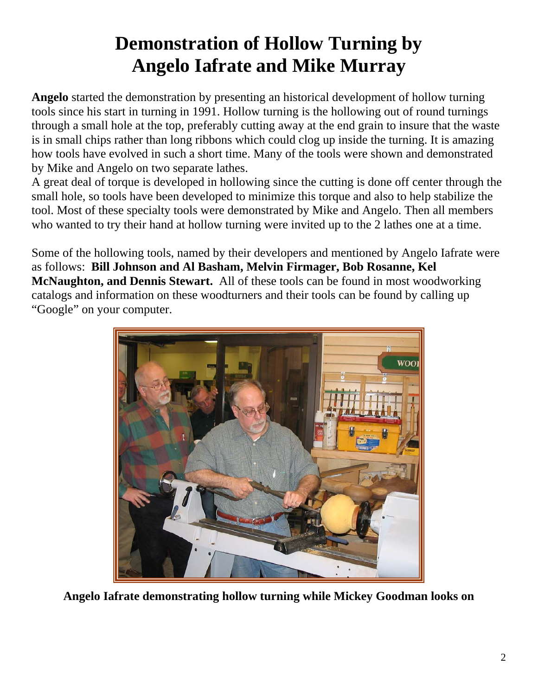## **Demonstration of Hollow Turning by Angelo Iafrate and Mike Murray**

**Angelo** started the demonstration by presenting an historical development of hollow turning tools since his start in turning in 1991. Hollow turning is the hollowing out of round turnings through a small hole at the top, preferably cutting away at the end grain to insure that the waste is in small chips rather than long ribbons which could clog up inside the turning. It is amazing how tools have evolved in such a short time. Many of the tools were shown and demonstrated by Mike and Angelo on two separate lathes.

A great deal of torque is developed in hollowing since the cutting is done off center through the small hole, so tools have been developed to minimize this torque and also to help stabilize the tool. Most of these specialty tools were demonstrated by Mike and Angelo. Then all members who wanted to try their hand at hollow turning were invited up to the 2 lathes one at a time.

Some of the hollowing tools, named by their developers and mentioned by Angelo Iafrate were as follows: **Bill Johnson and Al Basham, Melvin Firmager, Bob Rosanne, Kel McNaughton, and Dennis Stewart.** All of these tools can be found in most woodworking catalogs and information on these woodturners and their tools can be found by calling up "Google" on your computer.



**Angelo Iafrate demonstrating hollow turning while Mickey Goodman looks on**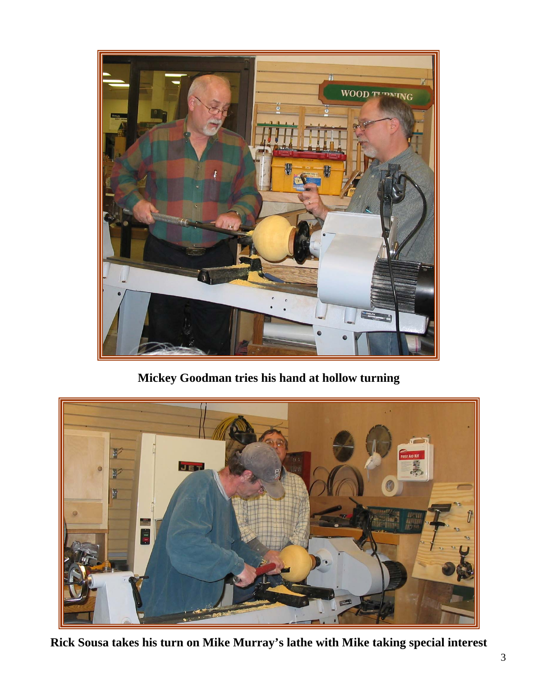

**Mickey Goodman tries his hand at hollow turning** 



**Rick Sousa takes his turn on Mike Murray's lathe with Mike taking special interest**